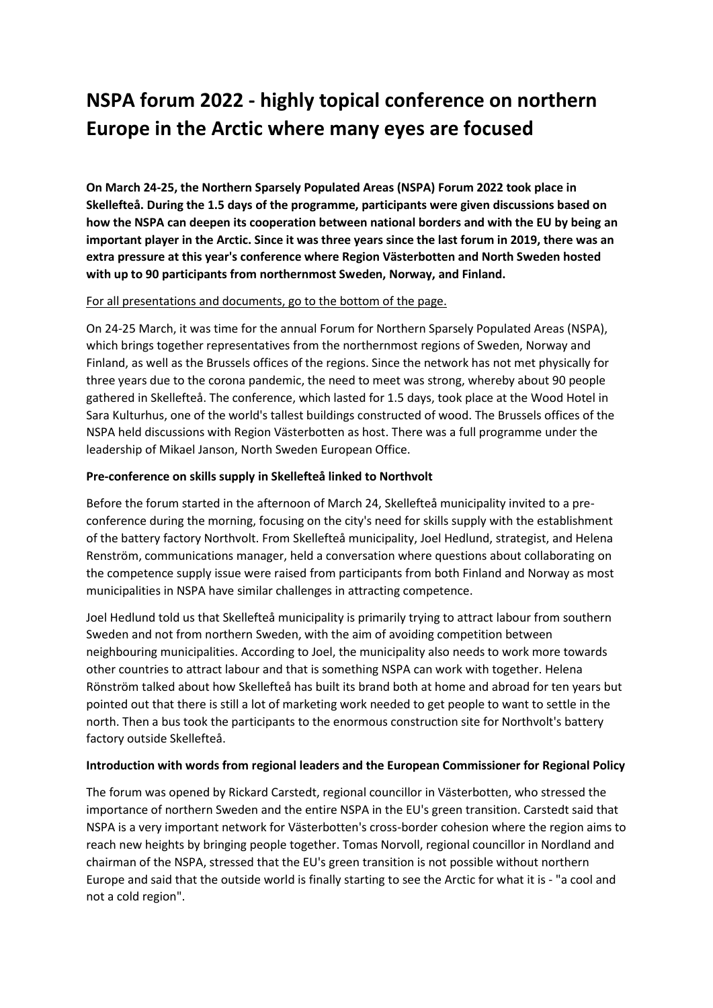# **NSPA forum 2022 - highly topical conference on northern Europe in the Arctic where many eyes are focused**

**On March 24-25, the Northern Sparsely Populated Areas (NSPA) Forum 2022 took place in Skellefteå. During the 1.5 days of the programme, participants were given discussions based on how the NSPA can deepen its cooperation between national borders and with the EU by being an important player in the Arctic. Since it was three years since the last forum in 2019, there was an extra pressure at this year's conference where Region Västerbotten and North Sweden hosted with up to 90 participants from northernmost Sweden, Norway, and Finland.**

### For all presentations and documents, go to the bottom of the page.

On 24-25 March, it was time for the annual Forum for Northern Sparsely Populated Areas (NSPA), which brings together representatives from the northernmost regions of Sweden, Norway and Finland, as well as the Brussels offices of the regions. Since the network has not met physically for three years due to the corona pandemic, the need to meet was strong, whereby about 90 people gathered in Skellefteå. The conference, which lasted for 1.5 days, took place at the Wood Hotel in Sara Kulturhus, one of the world's tallest buildings constructed of wood. The Brussels offices of the NSPA held discussions with Region Västerbotten as host. There was a full programme under the leadership of Mikael Janson, North Sweden European Office.

### **Pre-conference on skills supply in Skellefteå linked to Northvolt**

Before the forum started in the afternoon of March 24, Skellefteå municipality invited to a preconference during the morning, focusing on the city's need for skills supply with the establishment of the battery factory Northvolt. From Skellefteå municipality, Joel Hedlund, strategist, and Helena Renström, communications manager, held a conversation where questions about collaborating on the competence supply issue were raised from participants from both Finland and Norway as most municipalities in NSPA have similar challenges in attracting competence.

Joel Hedlund told us that Skellefteå municipality is primarily trying to attract labour from southern Sweden and not from northern Sweden, with the aim of avoiding competition between neighbouring municipalities. According to Joel, the municipality also needs to work more towards other countries to attract labour and that is something NSPA can work with together. Helena Rönström talked about how Skellefteå has built its brand both at home and abroad for ten years but pointed out that there is still a lot of marketing work needed to get people to want to settle in the north. Then a bus took the participants to the enormous construction site for Northvolt's battery factory outside Skellefteå.

### **Introduction with words from regional leaders and the European Commissioner for Regional Policy**

The forum was opened by Rickard Carstedt, regional councillor in Västerbotten, who stressed the importance of northern Sweden and the entire NSPA in the EU's green transition. Carstedt said that NSPA is a very important network for Västerbotten's cross-border cohesion where the region aims to reach new heights by bringing people together. Tomas Norvoll, regional councillor in Nordland and chairman of the NSPA, stressed that the EU's green transition is not possible without northern Europe and said that the outside world is finally starting to see the Arctic for what it is - "a cool and not a cold region".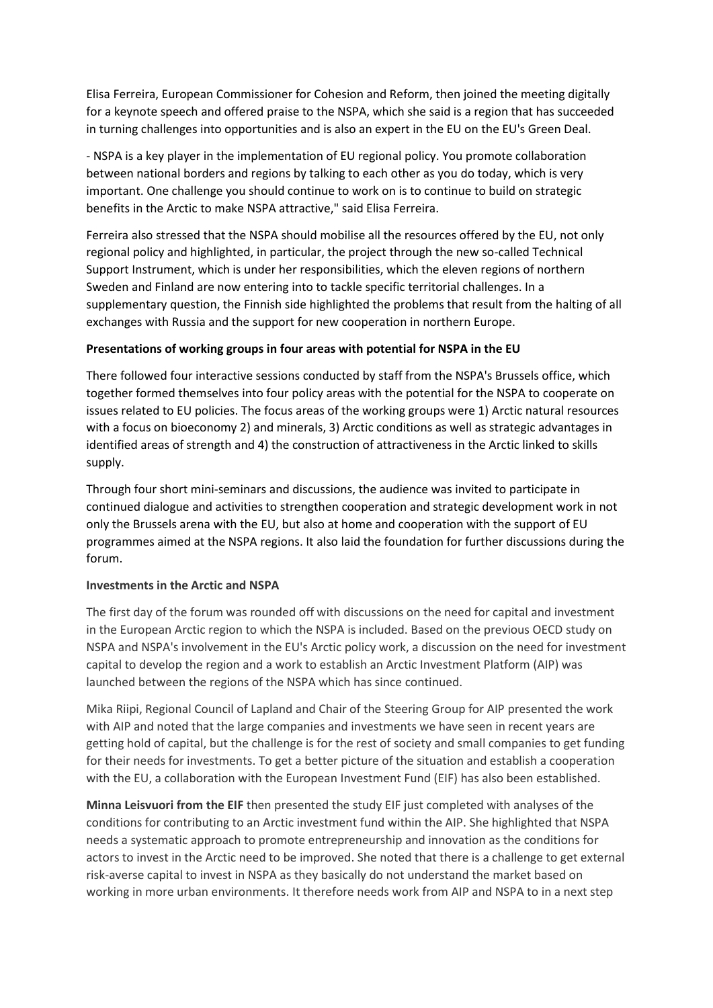Elisa Ferreira, European Commissioner for Cohesion and Reform, then joined the meeting digitally for a keynote speech and offered praise to the NSPA, which she said is a region that has succeeded in turning challenges into opportunities and is also an expert in the EU on the EU's Green Deal.

- NSPA is a key player in the implementation of EU regional policy. You promote collaboration between national borders and regions by talking to each other as you do today, which is very important. One challenge you should continue to work on is to continue to build on strategic benefits in the Arctic to make NSPA attractive," said Elisa Ferreira.

Ferreira also stressed that the NSPA should mobilise all the resources offered by the EU, not only regional policy and highlighted, in particular, the project through the new so-called Technical Support Instrument, which is under her responsibilities, which the eleven regions of northern Sweden and Finland are now entering into to tackle specific territorial challenges. In a supplementary question, the Finnish side highlighted the problems that result from the halting of all exchanges with Russia and the support for new cooperation in northern Europe.

## **Presentations of working groups in four areas with potential for NSPA in the EU**

There followed four interactive sessions conducted by staff from the NSPA's Brussels office, which together formed themselves into four policy areas with the potential for the NSPA to cooperate on issues related to EU policies. The focus areas of the working groups were 1) Arctic natural resources with a focus on bioeconomy 2) and minerals, 3) Arctic conditions as well as strategic advantages in identified areas of strength and 4) the construction of attractiveness in the Arctic linked to skills supply.

Through four short mini-seminars and discussions, the audience was invited to participate in continued dialogue and activities to strengthen cooperation and strategic development work in not only the Brussels arena with the EU, but also at home and cooperation with the support of EU programmes aimed at the NSPA regions. It also laid the foundation for further discussions during the forum.

### **Investments in the Arctic and NSPA**

The first day of the forum was rounded off with discussions on the need for capital and investment in the European Arctic region to which the NSPA is included. Based on the previous OECD study on NSPA and NSPA's involvement in the EU's Arctic policy work, a discussion on the need for investment capital to develop the region and a work to establish an Arctic Investment Platform (AIP) was launched between the regions of the NSPA which has since continued.

Mika Riipi, Regional Council of Lapland and Chair of the Steering Group for AIP presented the work with AIP and noted that the large companies and investments we have seen in recent years are getting hold of capital, but the challenge is for the rest of society and small companies to get funding for their needs for investments. To get a better picture of the situation and establish a cooperation with the EU, a collaboration with the European Investment Fund (EIF) has also been established.

**Minna Leisvuori from the EIF** then presented the study EIF just completed with analyses of the conditions for contributing to an Arctic investment fund within the AIP. She highlighted that NSPA needs a systematic approach to promote entrepreneurship and innovation as the conditions for actors to invest in the Arctic need to be improved. She noted that there is a challenge to get external risk-averse capital to invest in NSPA as they basically do not understand the market based on working in more urban environments. It therefore needs work from AIP and NSPA to in a next step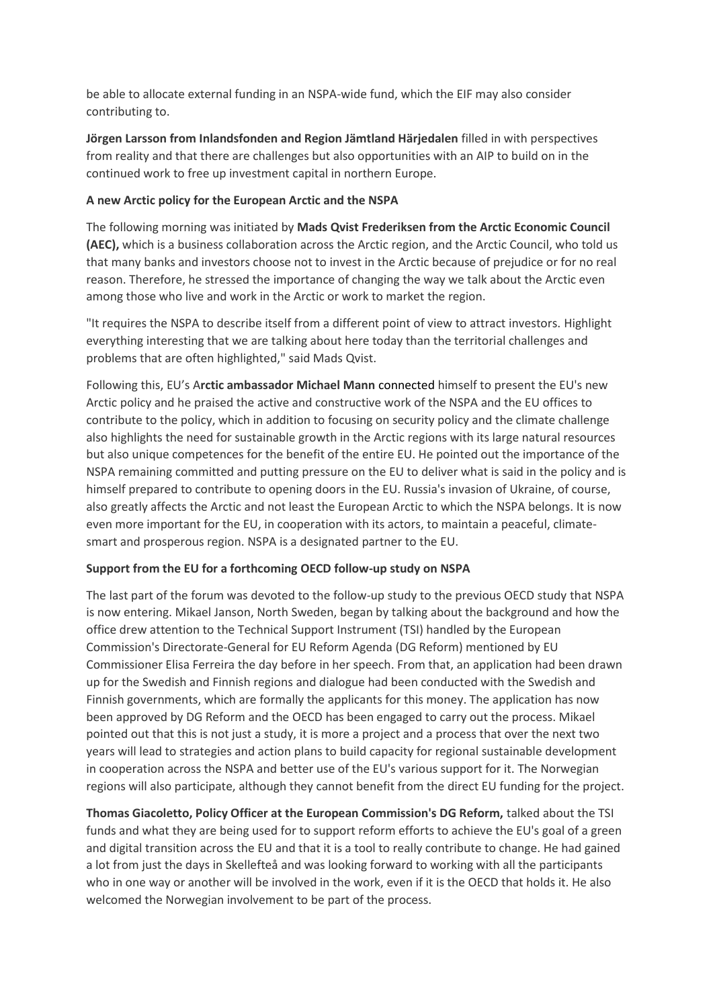be able to allocate external funding in an NSPA-wide fund, which the EIF may also consider contributing to.

**Jörgen Larsson from Inlandsfonden and Region Jämtland Härjedalen** filled in with perspectives from reality and that there are challenges but also opportunities with an AIP to build on in the continued work to free up investment capital in northern Europe.

## **A new Arctic policy for the European Arctic and the NSPA**

The following morning was initiated by **Mads Qvist Frederiksen from the Arctic Economic Council (AEC),** which is a business collaboration across the Arctic region, and the Arctic Council, who told us that many banks and investors choose not to invest in the Arctic because of prejudice or for no real reason. Therefore, he stressed the importance of changing the way we talk about the Arctic even among those who live and work in the Arctic or work to market the region.

"It requires the NSPA to describe itself from a different point of view to attract investors. Highlight everything interesting that we are talking about here today than the territorial challenges and problems that are often highlighted," said Mads Qvist.

Following this, EU's A**rctic ambassador Michael Mann** connected himself to present the EU's new Arctic policy and he praised the active and constructive work of the NSPA and the EU offices to contribute to the policy, which in addition to focusing on security policy and the climate challenge also highlights the need for sustainable growth in the Arctic regions with its large natural resources but also unique competences for the benefit of the entire EU. He pointed out the importance of the NSPA remaining committed and putting pressure on the EU to deliver what is said in the policy and is himself prepared to contribute to opening doors in the EU. Russia's invasion of Ukraine, of course, also greatly affects the Arctic and not least the European Arctic to which the NSPA belongs. It is now even more important for the EU, in cooperation with its actors, to maintain a peaceful, climatesmart and prosperous region. NSPA is a designated partner to the EU.

### **Support from the EU for a forthcoming OECD follow-up study on NSPA**

The last part of the forum was devoted to the follow-up study to the previous OECD study that NSPA is now entering. Mikael Janson, North Sweden, began by talking about the background and how the office drew attention to the Technical Support Instrument (TSI) handled by the European Commission's Directorate-General for EU Reform Agenda (DG Reform) mentioned by EU Commissioner Elisa Ferreira the day before in her speech. From that, an application had been drawn up for the Swedish and Finnish regions and dialogue had been conducted with the Swedish and Finnish governments, which are formally the applicants for this money. The application has now been approved by DG Reform and the OECD has been engaged to carry out the process. Mikael pointed out that this is not just a study, it is more a project and a process that over the next two years will lead to strategies and action plans to build capacity for regional sustainable development in cooperation across the NSPA and better use of the EU's various support for it. The Norwegian regions will also participate, although they cannot benefit from the direct EU funding for the project.

**Thomas Giacoletto, Policy Officer at the European Commission's DG Reform,** talked about the TSI funds and what they are being used for to support reform efforts to achieve the EU's goal of a green and digital transition across the EU and that it is a tool to really contribute to change. He had gained a lot from just the days in Skellefteå and was looking forward to working with all the participants who in one way or another will be involved in the work, even if it is the OECD that holds it. He also welcomed the Norwegian involvement to be part of the process.